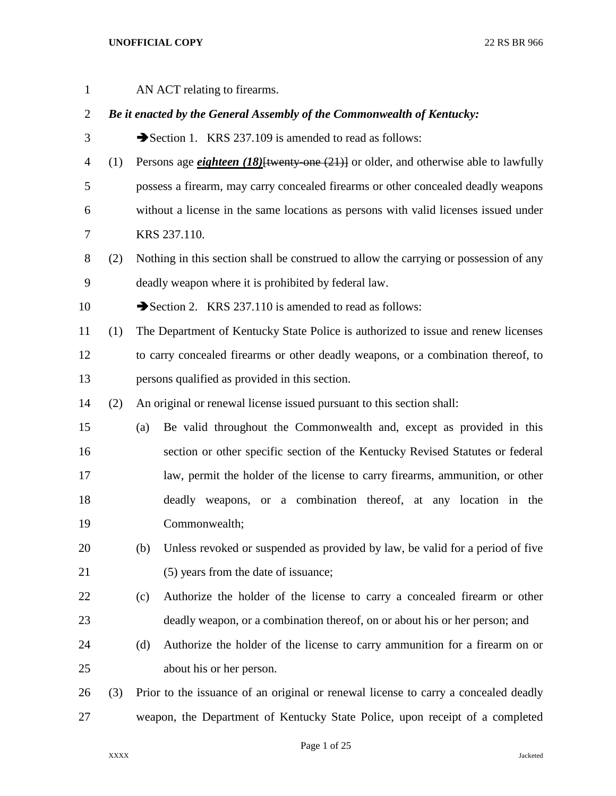| $\mathbf{1}$   |     | AN ACT relating to firearms.                                                                   |
|----------------|-----|------------------------------------------------------------------------------------------------|
| $\overline{2}$ |     | Be it enacted by the General Assembly of the Commonwealth of Kentucky:                         |
| 3              |     | Section 1. KRS 237.109 is amended to read as follows:                                          |
| 4              | (1) | Persons age <i>eighteen</i> (18) [twenty one $(21)$ ] or older, and otherwise able to lawfully |
| 5              |     | possess a firearm, may carry concealed firearms or other concealed deadly weapons              |
| 6              |     | without a license in the same locations as persons with valid licenses issued under            |
| 7              |     | KRS 237.110.                                                                                   |
| 8              | (2) | Nothing in this section shall be construed to allow the carrying or possession of any          |
| 9              |     | deadly weapon where it is prohibited by federal law.                                           |
| 10             |     | Section 2. KRS 237.110 is amended to read as follows:                                          |
| 11             | (1) | The Department of Kentucky State Police is authorized to issue and renew licenses              |
| 12             |     | to carry concealed firearms or other deadly weapons, or a combination thereof, to              |
| 13             |     | persons qualified as provided in this section.                                                 |
| 14             | (2) | An original or renewal license issued pursuant to this section shall:                          |
| 15             |     | Be valid throughout the Commonwealth and, except as provided in this<br>(a)                    |
| 16             |     | section or other specific section of the Kentucky Revised Statutes or federal                  |
| 17             |     | law, permit the holder of the license to carry firearms, ammunition, or other                  |
| 18             |     | deadly weapons, or a combination thereof, at any location in the                               |
| 19             |     | Commonwealth;                                                                                  |
| 20             |     | Unless revoked or suspended as provided by law, be valid for a period of five<br>(b)           |
| 21             |     | (5) years from the date of issuance;                                                           |
| 22             |     | Authorize the holder of the license to carry a concealed firearm or other<br>(c)               |
| 23             |     | deadly weapon, or a combination thereof, on or about his or her person; and                    |
| 24             |     | Authorize the holder of the license to carry ammunition for a firearm on or<br>(d)             |
| 25             |     | about his or her person.                                                                       |
| 26             | (3) | Prior to the issuance of an original or renewal license to carry a concealed deadly            |
| 27             |     | weapon, the Department of Kentucky State Police, upon receipt of a completed                   |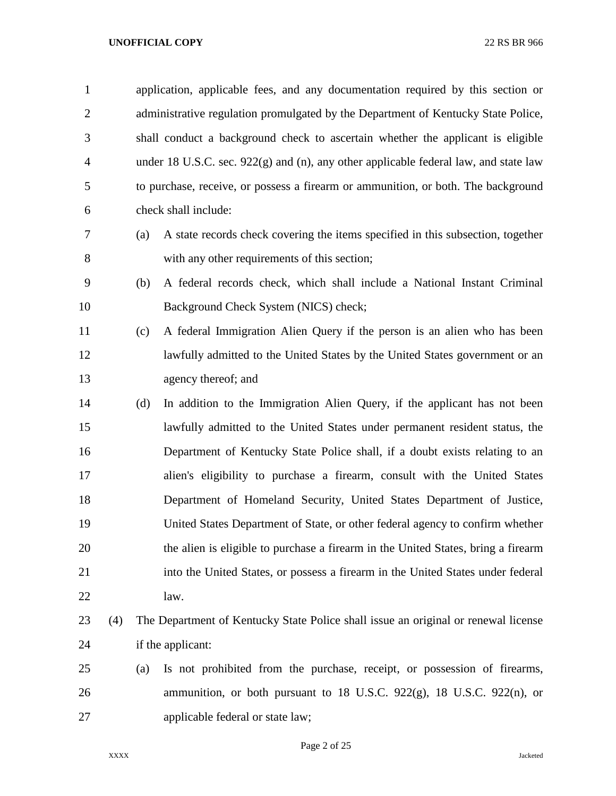|                | application, applicable fees, and any documentation required by this section or        |
|----------------|----------------------------------------------------------------------------------------|
| 2              | administrative regulation promulgated by the Department of Kentucky State Police,      |
| 3              | shall conduct a background check to ascertain whether the applicant is eligible        |
| $\overline{4}$ | under 18 U.S.C. sec. $922(g)$ and (n), any other applicable federal law, and state law |
| 5              | to purchase, receive, or possess a firearm or ammunition, or both. The background      |
| 6              | check shall include:                                                                   |

- (a) A state records check covering the items specified in this subsection, together with any other requirements of this section;
- (b) A federal records check, which shall include a National Instant Criminal Background Check System (NICS) check;
- (c) A federal Immigration Alien Query if the person is an alien who has been lawfully admitted to the United States by the United States government or an agency thereof; and
- (d) In addition to the Immigration Alien Query, if the applicant has not been lawfully admitted to the United States under permanent resident status, the Department of Kentucky State Police shall, if a doubt exists relating to an alien's eligibility to purchase a firearm, consult with the United States Department of Homeland Security, United States Department of Justice, United States Department of State, or other federal agency to confirm whether the alien is eligible to purchase a firearm in the United States, bring a firearm into the United States, or possess a firearm in the United States under federal law.
- (4) The Department of Kentucky State Police shall issue an original or renewal license if the applicant:
- (a) Is not prohibited from the purchase, receipt, or possession of firearms, ammunition, or both pursuant to 18 U.S.C. 922(g), 18 U.S.C. 922(n), or applicable federal or state law;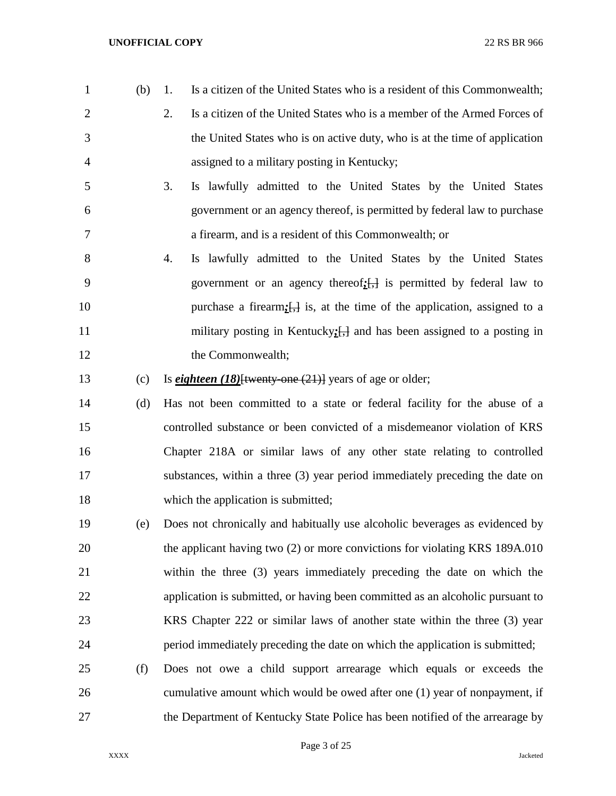- (b) 1. Is a citizen of the United States who is a resident of this Commonwealth;
- 2. Is a citizen of the United States who is a member of the Armed Forces of the United States who is on active duty, who is at the time of application assigned to a military posting in Kentucky;
- 3. Is lawfully admitted to the United States by the United States government or an agency thereof, is permitted by federal law to purchase a firearm, and is a resident of this Commonwealth; or
- 4. Is lawfully admitted to the United States by the United States government or an agency thereof*;*[,] is permitted by federal law to 10 purchase a firearm;  $\frac{1}{2}$  is, at the time of the application, assigned to a 11 military posting in Kentucky<sub>*;*[,]</sub> and has been assigned to a posting in 12 the Commonwealth;
- 13 (c) Is *eighteen* (18)<sup>{{wenty-one (21)} years of age or older;</sup>
- (d) Has not been committed to a state or federal facility for the abuse of a controlled substance or been convicted of a misdemeanor violation of KRS Chapter 218A or similar laws of any other state relating to controlled substances, within a three (3) year period immediately preceding the date on 18 which the application is submitted;
- (e) Does not chronically and habitually use alcoholic beverages as evidenced by the applicant having two (2) or more convictions for violating KRS 189A.010 within the three (3) years immediately preceding the date on which the application is submitted, or having been committed as an alcoholic pursuant to KRS Chapter 222 or similar laws of another state within the three (3) year period immediately preceding the date on which the application is submitted;
- (f) Does not owe a child support arrearage which equals or exceeds the cumulative amount which would be owed after one (1) year of nonpayment, if the Department of Kentucky State Police has been notified of the arrearage by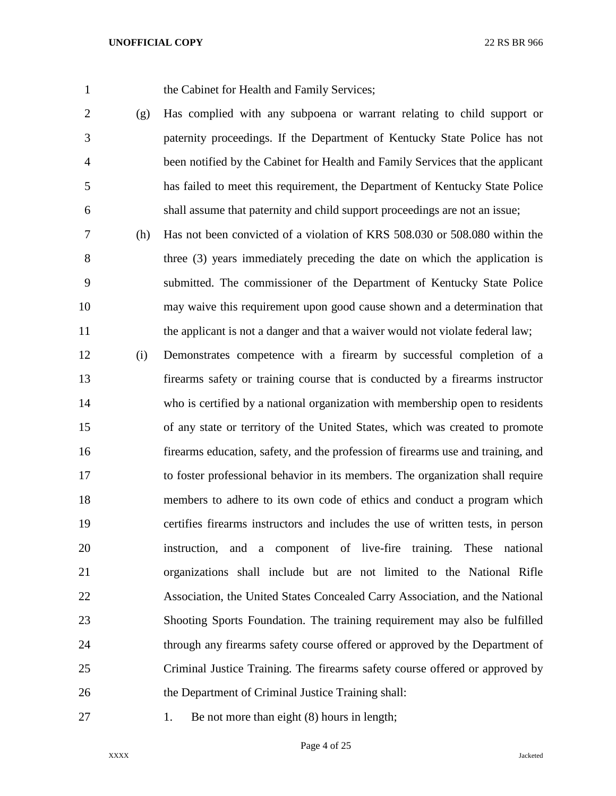the Cabinet for Health and Family Services;

- (g) Has complied with any subpoena or warrant relating to child support or paternity proceedings. If the Department of Kentucky State Police has not been notified by the Cabinet for Health and Family Services that the applicant has failed to meet this requirement, the Department of Kentucky State Police shall assume that paternity and child support proceedings are not an issue;
- (h) Has not been convicted of a violation of KRS 508.030 or 508.080 within the three (3) years immediately preceding the date on which the application is submitted. The commissioner of the Department of Kentucky State Police may waive this requirement upon good cause shown and a determination that 11 the applicant is not a danger and that a waiver would not violate federal law;
- (i) Demonstrates competence with a firearm by successful completion of a firearms safety or training course that is conducted by a firearms instructor who is certified by a national organization with membership open to residents of any state or territory of the United States, which was created to promote firearms education, safety, and the profession of firearms use and training, and to foster professional behavior in its members. The organization shall require members to adhere to its own code of ethics and conduct a program which certifies firearms instructors and includes the use of written tests, in person instruction, and a component of live-fire training. These national organizations shall include but are not limited to the National Rifle Association, the United States Concealed Carry Association, and the National Shooting Sports Foundation. The training requirement may also be fulfilled through any firearms safety course offered or approved by the Department of Criminal Justice Training. The firearms safety course offered or approved by 26 the Department of Criminal Justice Training shall:
- 
- 27 1. Be not more than eight (8) hours in length;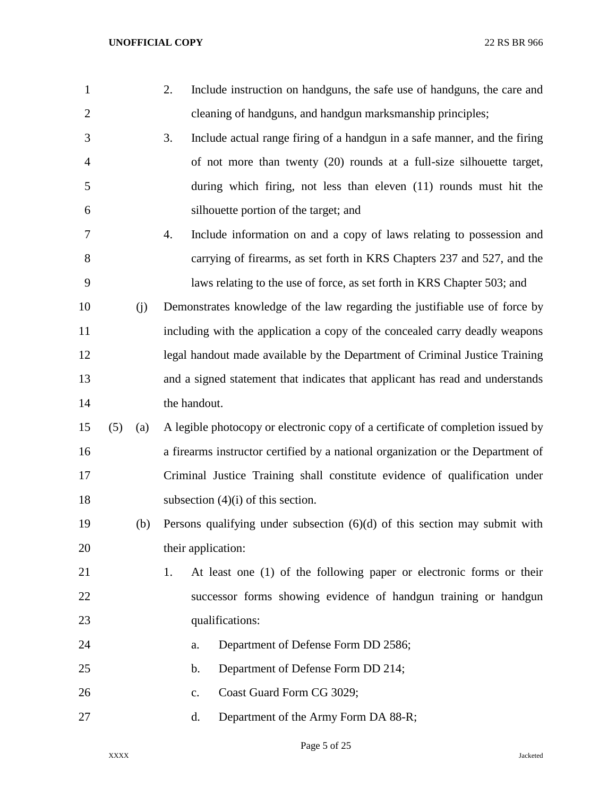| $\mathbf{1}$   |     |     | Include instruction on handguns, the safe use of handguns, the care and<br>2.   |
|----------------|-----|-----|---------------------------------------------------------------------------------|
| $\overline{2}$ |     |     | cleaning of handguns, and handgun marksmanship principles;                      |
| 3              |     |     | 3.<br>Include actual range firing of a handgun in a safe manner, and the firing |
| $\overline{4}$ |     |     | of not more than twenty (20) rounds at a full-size silhouette target,           |
| 5              |     |     | during which firing, not less than eleven (11) rounds must hit the              |
| 6              |     |     | silhouette portion of the target; and                                           |
| 7              |     |     | Include information on and a copy of laws relating to possession and<br>4.      |
| 8              |     |     | carrying of firearms, as set forth in KRS Chapters 237 and 527, and the         |
| 9              |     |     | laws relating to the use of force, as set forth in KRS Chapter 503; and         |
| 10             |     | (j) | Demonstrates knowledge of the law regarding the justifiable use of force by     |
| 11             |     |     | including with the application a copy of the concealed carry deadly weapons     |
| 12             |     |     | legal handout made available by the Department of Criminal Justice Training     |
| 13             |     |     | and a signed statement that indicates that applicant has read and understands   |
| 14             |     |     | the handout.                                                                    |
| 15             | (5) | (a) | A legible photocopy or electronic copy of a certificate of completion issued by |
| 16             |     |     | a firearms instructor certified by a national organization or the Department of |
| 17             |     |     | Criminal Justice Training shall constitute evidence of qualification under      |
| 18             |     |     | subsection $(4)(i)$ of this section.                                            |
| 19             |     | (b) | Persons qualifying under subsection $(6)(d)$ of this section may submit with    |
| 20             |     |     | their application:                                                              |
| 21             |     |     | At least one (1) of the following paper or electronic forms or their<br>1.      |
| 22             |     |     | successor forms showing evidence of handgun training or handgun                 |
| 23             |     |     | qualifications:                                                                 |
| 24             |     |     | Department of Defense Form DD 2586;<br>a.                                       |
| 25             |     |     | Department of Defense Form DD 214;<br>b.                                        |
| 26             |     |     | Coast Guard Form CG 3029;<br>c.                                                 |
| 27             |     |     | Department of the Army Form DA 88-R;<br>d.                                      |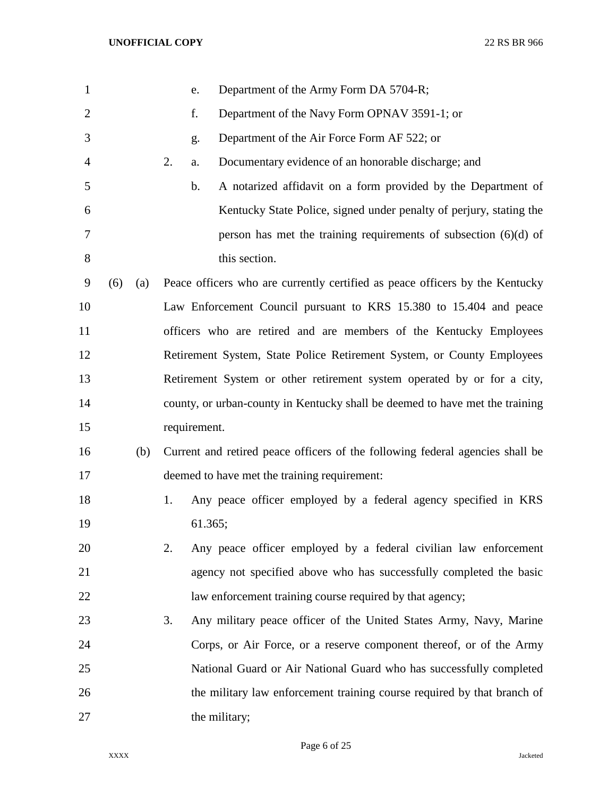| $\mathbf{1}$   |     |     | e.           | Department of the Army Form DA 5704-R;                                        |
|----------------|-----|-----|--------------|-------------------------------------------------------------------------------|
| $\overline{2}$ |     |     | f.           | Department of the Navy Form OPNAV 3591-1; or                                  |
| 3              |     |     | g.           | Department of the Air Force Form AF 522; or                                   |
| 4              |     |     | 2.<br>a.     | Documentary evidence of an honorable discharge; and                           |
| 5              |     |     | b.           | A notarized affidavit on a form provided by the Department of                 |
| 6              |     |     |              | Kentucky State Police, signed under penalty of perjury, stating the           |
| 7              |     |     |              | person has met the training requirements of subsection $(6)(d)$ of            |
| 8              |     |     |              | this section.                                                                 |
| 9              | (6) | (a) |              | Peace officers who are currently certified as peace officers by the Kentucky  |
| 10             |     |     |              | Law Enforcement Council pursuant to KRS 15.380 to 15.404 and peace            |
| 11             |     |     |              | officers who are retired and are members of the Kentucky Employees            |
| 12             |     |     |              | Retirement System, State Police Retirement System, or County Employees        |
| 13             |     |     |              | Retirement System or other retirement system operated by or for a city,       |
| 14             |     |     |              | county, or urban-county in Kentucky shall be deemed to have met the training  |
| 15             |     |     | requirement. |                                                                               |
| 16             |     | (b) |              | Current and retired peace officers of the following federal agencies shall be |
| 17             |     |     |              | deemed to have met the training requirement:                                  |
| 18             |     |     | 1.           | Any peace officer employed by a federal agency specified in KRS               |
| 19             |     |     |              | 61.365;                                                                       |
| 20             |     |     | 2.           | Any peace officer employed by a federal civilian law enforcement              |
| 21             |     |     |              | agency not specified above who has successfully completed the basic           |
| 22             |     |     |              | law enforcement training course required by that agency;                      |
| 23             |     |     | 3.           | Any military peace officer of the United States Army, Navy, Marine            |
| 24             |     |     |              | Corps, or Air Force, or a reserve component thereof, or of the Army           |
| 25             |     |     |              | National Guard or Air National Guard who has successfully completed           |
| 26             |     |     |              | the military law enforcement training course required by that branch of       |
| 27             |     |     |              | the military;                                                                 |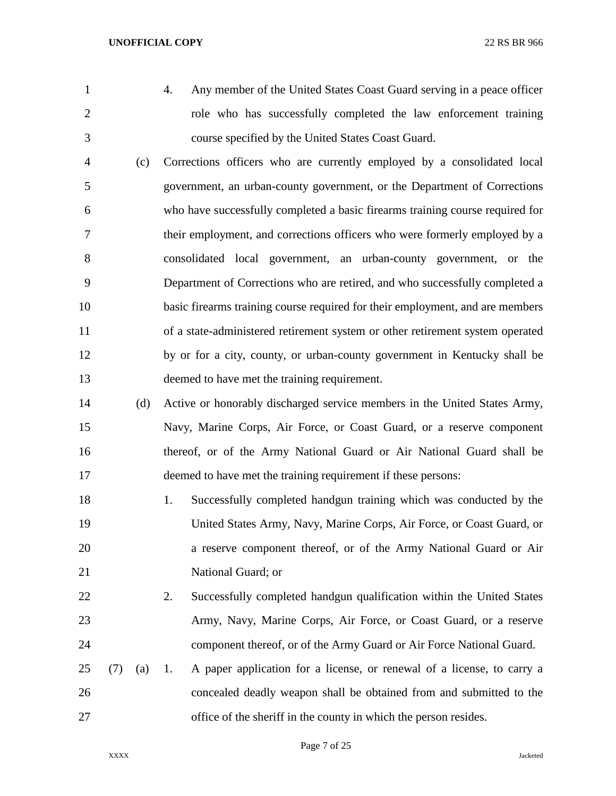- 
- 
- 4. Any member of the United States Coast Guard serving in a peace officer role who has successfully completed the law enforcement training course specified by the United States Coast Guard.
- (c) Corrections officers who are currently employed by a consolidated local government, an urban-county government, or the Department of Corrections who have successfully completed a basic firearms training course required for their employment, and corrections officers who were formerly employed by a consolidated local government, an urban-county government, or the Department of Corrections who are retired, and who successfully completed a basic firearms training course required for their employment, and are members of a state-administered retirement system or other retirement system operated by or for a city, county, or urban-county government in Kentucky shall be deemed to have met the training requirement.
- (d) Active or honorably discharged service members in the United States Army, Navy, Marine Corps, Air Force, or Coast Guard, or a reserve component thereof, or of the Army National Guard or Air National Guard shall be deemed to have met the training requirement if these persons:
- 18 1. Successfully completed handgun training which was conducted by the United States Army, Navy, Marine Corps, Air Force, or Coast Guard, or a reserve component thereof, or of the Army National Guard or Air 21 National Guard; or
- 22 2. Successfully completed handgun qualification within the United States Army, Navy, Marine Corps, Air Force, or Coast Guard, or a reserve component thereof, or of the Army Guard or Air Force National Guard.
- (7) (a) 1. A paper application for a license, or renewal of a license, to carry a concealed deadly weapon shall be obtained from and submitted to the office of the sheriff in the county in which the person resides.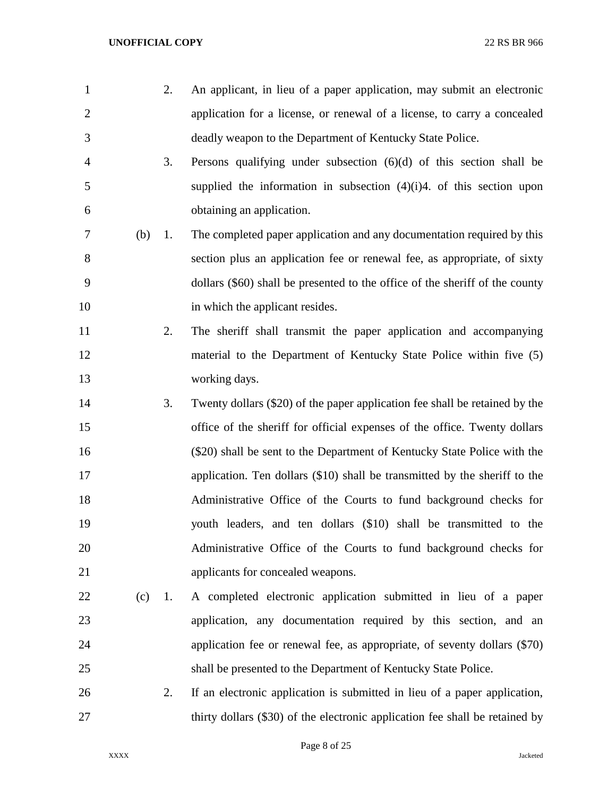2. An applicant, in lieu of a paper application, may submit an electronic application for a license, or renewal of a license, to carry a concealed deadly weapon to the Department of Kentucky State Police. 3. Persons qualifying under subsection (6)(d) of this section shall be supplied the information in subsection (4)(i)4. of this section upon obtaining an application. (b) 1. The completed paper application and any documentation required by this section plus an application fee or renewal fee, as appropriate, of sixty dollars (\$60) shall be presented to the office of the sheriff of the county 10 in which the applicant resides. 2. The sheriff shall transmit the paper application and accompanying material to the Department of Kentucky State Police within five (5) working days. 3. Twenty dollars (\$20) of the paper application fee shall be retained by the office of the sheriff for official expenses of the office. Twenty dollars (\$20) shall be sent to the Department of Kentucky State Police with the application. Ten dollars (\$10) shall be transmitted by the sheriff to the Administrative Office of the Courts to fund background checks for youth leaders, and ten dollars (\$10) shall be transmitted to the Administrative Office of the Courts to fund background checks for applicants for concealed weapons. (c) 1. A completed electronic application submitted in lieu of a paper application, any documentation required by this section, and an application fee or renewal fee, as appropriate, of seventy dollars (\$70) shall be presented to the Department of Kentucky State Police. 2. If an electronic application is submitted in lieu of a paper application, thirty dollars (\$30) of the electronic application fee shall be retained by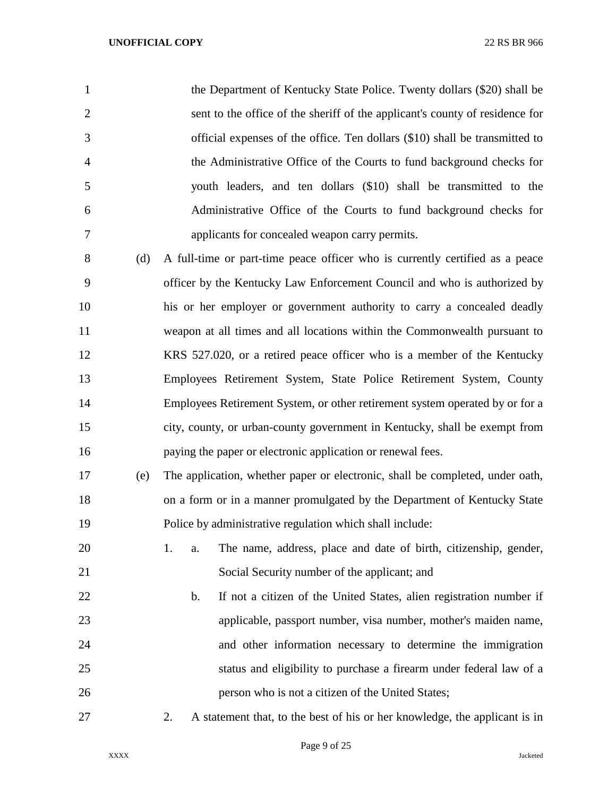| $\mathbf{1}$   |     | the Department of Kentucky State Police. Twenty dollars (\$20) shall be      |
|----------------|-----|------------------------------------------------------------------------------|
| 2              |     | sent to the office of the sheriff of the applicant's county of residence for |
| 3              |     | official expenses of the office. Ten dollars (\$10) shall be transmitted to  |
| $\overline{4}$ |     | the Administrative Office of the Courts to fund background checks for        |
| 5              |     | youth leaders, and ten dollars (\$10) shall be transmitted to the            |
| 6              |     | Administrative Office of the Courts to fund background checks for            |
| 7              |     | applicants for concealed weapon carry permits.                               |
| 8              | (d) | A full-time or part-time peace officer who is currently certified as a peace |
| 9              |     | officer by the Kentucky Law Enforcement Council and who is authorized by     |
| 10             |     | his or her employer or government authority to carry a concealed deadly      |
| 11             |     | weapon at all times and all locations within the Commonwealth pursuant to    |
| 12             |     | KRS 527.020, or a retired peace officer who is a member of the Kentucky      |
| 13             |     | Employees Retirement System, State Police Retirement System, County          |

 Employees Retirement System, or other retirement system operated by or for a city, county, or urban-county government in Kentucky, shall be exempt from paying the paper or electronic application or renewal fees.

- (e) The application, whether paper or electronic, shall be completed, under oath, on a form or in a manner promulgated by the Department of Kentucky State Police by administrative regulation which shall include:
- 1. a. The name, address, place and date of birth, citizenship, gender, Social Security number of the applicant; and
- b. If not a citizen of the United States, alien registration number if applicable, passport number, visa number, mother's maiden name, and other information necessary to determine the immigration status and eligibility to purchase a firearm under federal law of a person who is not a citizen of the United States;
- 

2. A statement that, to the best of his or her knowledge, the applicant is in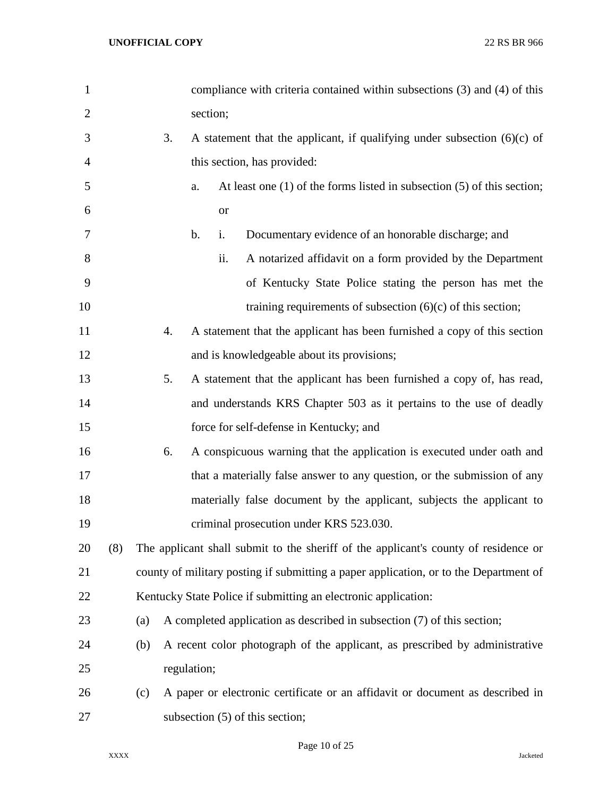| $\mathbf{1}$   |     |     |    |             |           | compliance with criteria contained within subsections (3) and (4) of this             |
|----------------|-----|-----|----|-------------|-----------|---------------------------------------------------------------------------------------|
| $\overline{2}$ |     |     |    |             | section;  |                                                                                       |
| 3              |     |     | 3. |             |           | A statement that the applicant, if qualifying under subsection $(6)(c)$ of            |
| 4              |     |     |    |             |           | this section, has provided:                                                           |
| 5              |     |     |    | a.          |           | At least one $(1)$ of the forms listed in subsection $(5)$ of this section;           |
| 6              |     |     |    |             | <b>or</b> |                                                                                       |
| 7              |     |     |    | b.          | i.        | Documentary evidence of an honorable discharge; and                                   |
| 8              |     |     |    |             | ii.       | A notarized affidavit on a form provided by the Department                            |
| 9              |     |     |    |             |           | of Kentucky State Police stating the person has met the                               |
| 10             |     |     |    |             |           | training requirements of subsection $(6)(c)$ of this section;                         |
| 11             |     |     | 4. |             |           | A statement that the applicant has been furnished a copy of this section              |
| 12             |     |     |    |             |           | and is knowledgeable about its provisions;                                            |
| 13             |     |     | 5. |             |           | A statement that the applicant has been furnished a copy of, has read,                |
| 14             |     |     |    |             |           | and understands KRS Chapter 503 as it pertains to the use of deadly                   |
| 15             |     |     |    |             |           | force for self-defense in Kentucky; and                                               |
| 16             |     |     | 6. |             |           | A conspicuous warning that the application is executed under oath and                 |
| 17             |     |     |    |             |           | that a materially false answer to any question, or the submission of any              |
| 18             |     |     |    |             |           | materially false document by the applicant, subjects the applicant to                 |
| 19             |     |     |    |             |           | criminal prosecution under KRS 523.030.                                               |
| 20             | (8) |     |    |             |           | The applicant shall submit to the sheriff of the applicant's county of residence or   |
| 21             |     |     |    |             |           | county of military posting if submitting a paper application, or to the Department of |
| 22             |     |     |    |             |           | Kentucky State Police if submitting an electronic application:                        |
| 23             |     | (a) |    |             |           | A completed application as described in subsection (7) of this section;               |
| 24             |     | (b) |    |             |           | A recent color photograph of the applicant, as prescribed by administrative           |
| 25             |     |     |    | regulation; |           |                                                                                       |
| 26             |     | (c) |    |             |           | A paper or electronic certificate or an affidavit or document as described in         |
| 27             |     |     |    |             |           | subsection $(5)$ of this section;                                                     |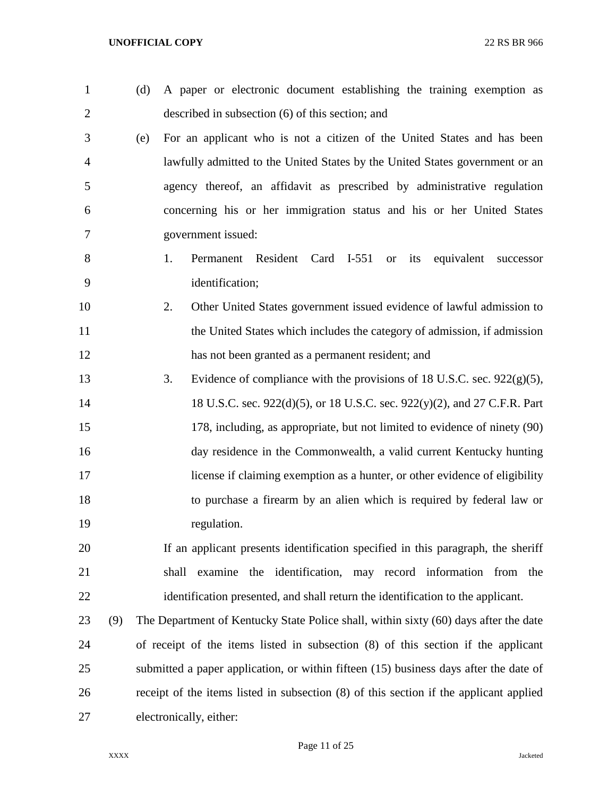| $\mathbf{1}$   | (d) | A paper or electronic document establishing the training exemption as                  |
|----------------|-----|----------------------------------------------------------------------------------------|
| $\overline{2}$ |     | described in subsection (6) of this section; and                                       |
| 3              | (e) | For an applicant who is not a citizen of the United States and has been                |
| 4              |     | lawfully admitted to the United States by the United States government or an           |
| 5              |     | agency thereof, an affidavit as prescribed by administrative regulation                |
| 6              |     | concerning his or her immigration status and his or her United States                  |
| 7              |     | government issued:                                                                     |
| 8              |     | Permanent Resident Card I-551 or its<br>1.<br>equivalent successor                     |
| 9              |     | identification;                                                                        |
| 10             |     | Other United States government issued evidence of lawful admission to<br>2.            |
| 11             |     | the United States which includes the category of admission, if admission               |
| 12             |     | has not been granted as a permanent resident; and                                      |
| 13             |     | 3.<br>Evidence of compliance with the provisions of 18 U.S.C. sec. $922(g)(5)$ ,       |
| 14             |     | 18 U.S.C. sec. 922(d)(5), or 18 U.S.C. sec. 922(y)(2), and 27 C.F.R. Part              |
| 15             |     | 178, including, as appropriate, but not limited to evidence of ninety (90)             |
| 16             |     | day residence in the Commonwealth, a valid current Kentucky hunting                    |
| 17             |     | license if claiming exemption as a hunter, or other evidence of eligibility            |
| 18             |     | to purchase a firearm by an alien which is required by federal law or                  |
| 19             |     | regulation.                                                                            |
| 20             |     | If an applicant presents identification specified in this paragraph, the sheriff       |
| 21             |     | examine the identification, may record information from the<br>shall                   |
| 22             |     | identification presented, and shall return the identification to the applicant.        |
| 23             | (9) | The Department of Kentucky State Police shall, within sixty (60) days after the date   |
| 24             |     | of receipt of the items listed in subsection $(8)$ of this section if the applicant    |
| 25             |     | submitted a paper application, or within fifteen (15) business days after the date of  |
| 26             |     | receipt of the items listed in subsection (8) of this section if the applicant applied |
| 27             |     | electronically, either:                                                                |
|                |     |                                                                                        |

Page 11 of 25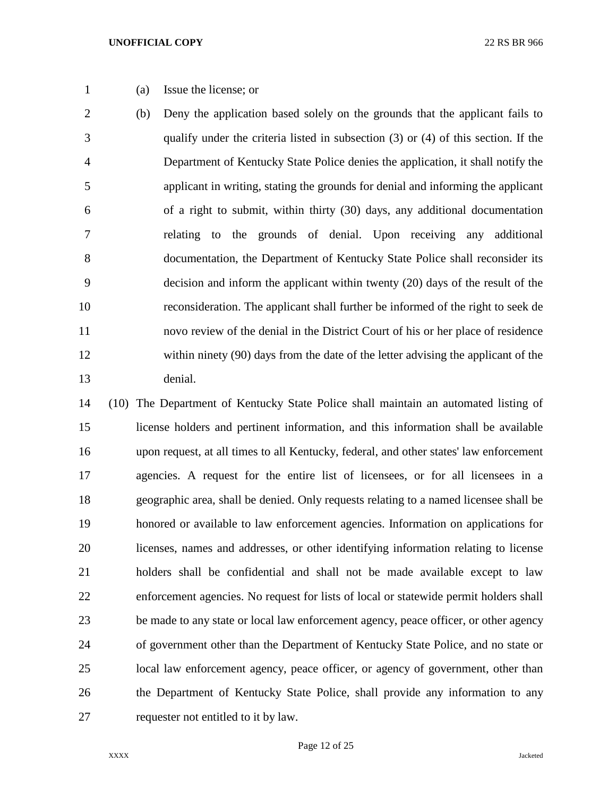(a) Issue the license; or

 (b) Deny the application based solely on the grounds that the applicant fails to qualify under the criteria listed in subsection (3) or (4) of this section. If the Department of Kentucky State Police denies the application, it shall notify the applicant in writing, stating the grounds for denial and informing the applicant of a right to submit, within thirty (30) days, any additional documentation relating to the grounds of denial. Upon receiving any additional documentation, the Department of Kentucky State Police shall reconsider its decision and inform the applicant within twenty (20) days of the result of the reconsideration. The applicant shall further be informed of the right to seek de novo review of the denial in the District Court of his or her place of residence within ninety (90) days from the date of the letter advising the applicant of the denial.

 (10) The Department of Kentucky State Police shall maintain an automated listing of license holders and pertinent information, and this information shall be available upon request, at all times to all Kentucky, federal, and other states' law enforcement agencies. A request for the entire list of licensees, or for all licensees in a geographic area, shall be denied. Only requests relating to a named licensee shall be honored or available to law enforcement agencies. Information on applications for licenses, names and addresses, or other identifying information relating to license holders shall be confidential and shall not be made available except to law enforcement agencies. No request for lists of local or statewide permit holders shall be made to any state or local law enforcement agency, peace officer, or other agency of government other than the Department of Kentucky State Police, and no state or local law enforcement agency, peace officer, or agency of government, other than the Department of Kentucky State Police, shall provide any information to any requester not entitled to it by law.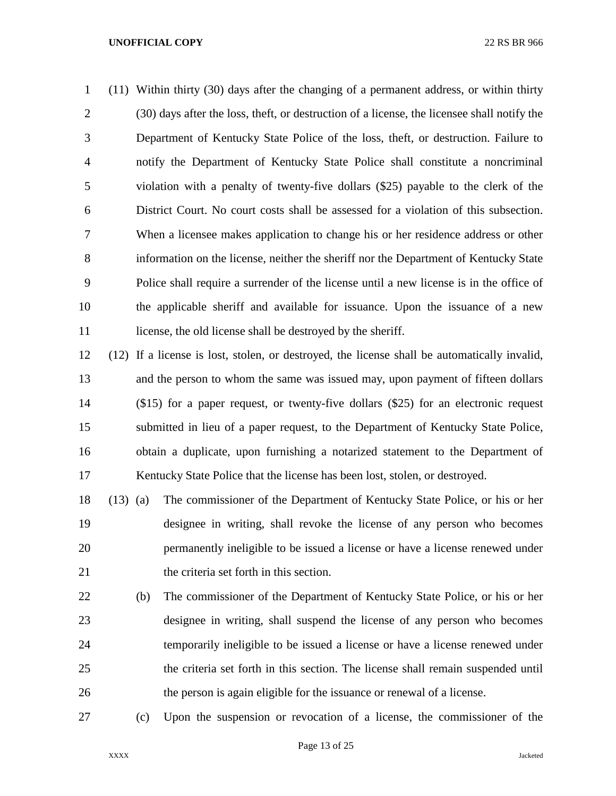(11) Within thirty (30) days after the changing of a permanent address, or within thirty (30) days after the loss, theft, or destruction of a license, the licensee shall notify the Department of Kentucky State Police of the loss, theft, or destruction. Failure to notify the Department of Kentucky State Police shall constitute a noncriminal violation with a penalty of twenty-five dollars (\$25) payable to the clerk of the District Court. No court costs shall be assessed for a violation of this subsection. When a licensee makes application to change his or her residence address or other information on the license, neither the sheriff nor the Department of Kentucky State Police shall require a surrender of the license until a new license is in the office of the applicable sheriff and available for issuance. Upon the issuance of a new 11 license, the old license shall be destroyed by the sheriff.

 (12) If a license is lost, stolen, or destroyed, the license shall be automatically invalid, and the person to whom the same was issued may, upon payment of fifteen dollars (\$15) for a paper request, or twenty-five dollars (\$25) for an electronic request submitted in lieu of a paper request, to the Department of Kentucky State Police, obtain a duplicate, upon furnishing a notarized statement to the Department of Kentucky State Police that the license has been lost, stolen, or destroyed.

 (13) (a) The commissioner of the Department of Kentucky State Police, or his or her designee in writing, shall revoke the license of any person who becomes permanently ineligible to be issued a license or have a license renewed under the criteria set forth in this section.

- (b) The commissioner of the Department of Kentucky State Police, or his or her designee in writing, shall suspend the license of any person who becomes temporarily ineligible to be issued a license or have a license renewed under the criteria set forth in this section. The license shall remain suspended until the person is again eligible for the issuance or renewal of a license.
- 

(c) Upon the suspension or revocation of a license, the commissioner of the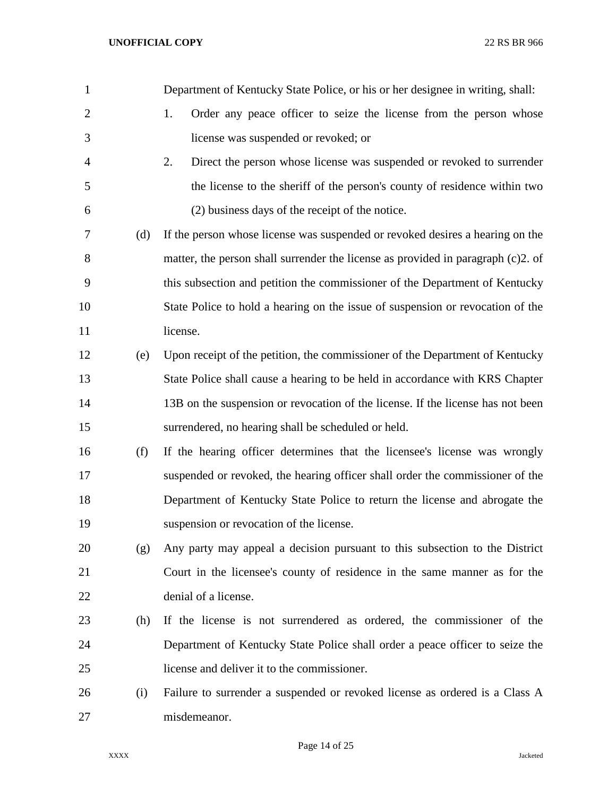| $\mathbf{1}$   |     | Department of Kentucky State Police, or his or her designee in writing, shall:   |
|----------------|-----|----------------------------------------------------------------------------------|
| $\overline{2}$ |     | 1.<br>Order any peace officer to seize the license from the person whose         |
| 3              |     | license was suspended or revoked; or                                             |
| 4              |     | 2.<br>Direct the person whose license was suspended or revoked to surrender      |
| 5              |     | the license to the sheriff of the person's county of residence within two        |
| 6              |     | (2) business days of the receipt of the notice.                                  |
| 7              | (d) | If the person whose license was suspended or revoked desires a hearing on the    |
| 8              |     | matter, the person shall surrender the license as provided in paragraph (c)2. of |
| 9              |     | this subsection and petition the commissioner of the Department of Kentucky      |
| 10             |     | State Police to hold a hearing on the issue of suspension or revocation of the   |
| 11             |     | license.                                                                         |
| 12             | (e) | Upon receipt of the petition, the commissioner of the Department of Kentucky     |
| 13             |     | State Police shall cause a hearing to be held in accordance with KRS Chapter     |
| 14             |     | 13B on the suspension or revocation of the license. If the license has not been  |
| 15             |     | surrendered, no hearing shall be scheduled or held.                              |
| 16             | (f) | If the hearing officer determines that the licensee's license was wrongly        |
| 17             |     | suspended or revoked, the hearing officer shall order the commissioner of the    |
| 18             |     | Department of Kentucky State Police to return the license and abrogate the       |
| 19             |     | suspension or revocation of the license.                                         |
| 20             | (g) | Any party may appeal a decision pursuant to this subsection to the District      |
| 21             |     | Court in the licensee's county of residence in the same manner as for the        |
| 22             |     | denial of a license.                                                             |
| 23             | (h) | If the license is not surrendered as ordered, the commissioner of the            |
| 24             |     | Department of Kentucky State Police shall order a peace officer to seize the     |
| 25             |     | license and deliver it to the commissioner.                                      |
| 26             | (i) | Failure to surrender a suspended or revoked license as ordered is a Class A      |
| 27             |     | misdemeanor.                                                                     |

Page 14 of 25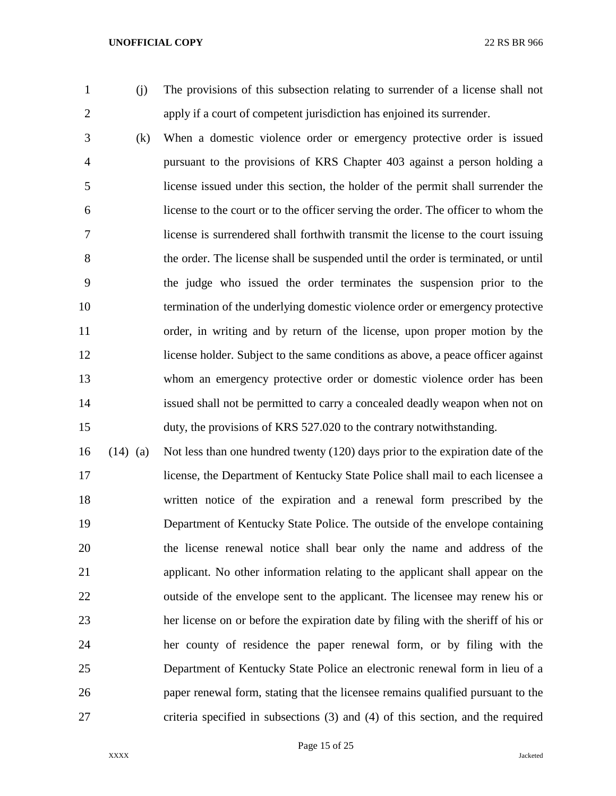(j) The provisions of this subsection relating to surrender of a license shall not apply if a court of competent jurisdiction has enjoined its surrender.

 (k) When a domestic violence order or emergency protective order is issued pursuant to the provisions of KRS Chapter 403 against a person holding a license issued under this section, the holder of the permit shall surrender the license to the court or to the officer serving the order. The officer to whom the license is surrendered shall forthwith transmit the license to the court issuing the order. The license shall be suspended until the order is terminated, or until the judge who issued the order terminates the suspension prior to the termination of the underlying domestic violence order or emergency protective order, in writing and by return of the license, upon proper motion by the license holder. Subject to the same conditions as above, a peace officer against whom an emergency protective order or domestic violence order has been issued shall not be permitted to carry a concealed deadly weapon when not on duty, the provisions of KRS 527.020 to the contrary notwithstanding.

 (14) (a) Not less than one hundred twenty (120) days prior to the expiration date of the license, the Department of Kentucky State Police shall mail to each licensee a written notice of the expiration and a renewal form prescribed by the Department of Kentucky State Police. The outside of the envelope containing the license renewal notice shall bear only the name and address of the applicant. No other information relating to the applicant shall appear on the outside of the envelope sent to the applicant. The licensee may renew his or her license on or before the expiration date by filing with the sheriff of his or her county of residence the paper renewal form, or by filing with the Department of Kentucky State Police an electronic renewal form in lieu of a paper renewal form, stating that the licensee remains qualified pursuant to the criteria specified in subsections (3) and (4) of this section, and the required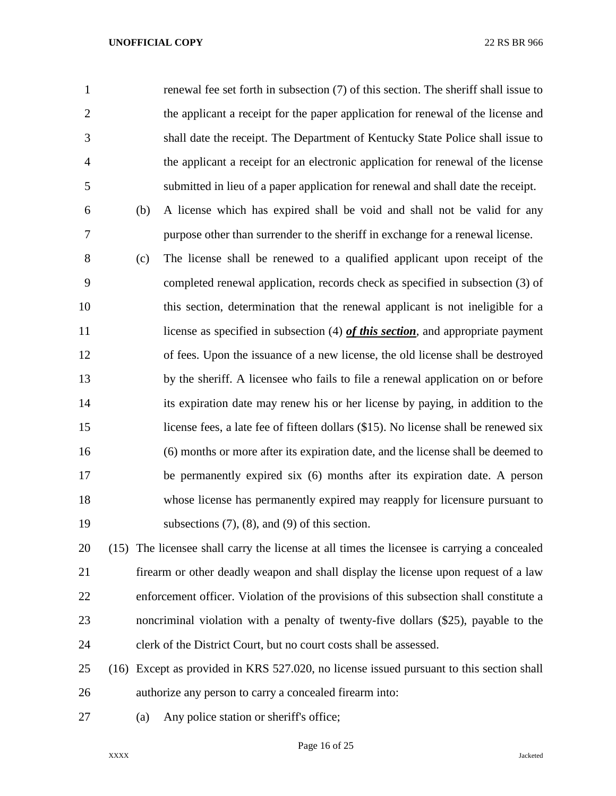| $\mathbf{1}$   |     | renewal fee set forth in subsection (7) of this section. The sheriff shall issue to         |
|----------------|-----|---------------------------------------------------------------------------------------------|
| $\mathfrak{2}$ |     | the applicant a receipt for the paper application for renewal of the license and            |
| 3              |     | shall date the receipt. The Department of Kentucky State Police shall issue to              |
| $\overline{4}$ |     | the applicant a receipt for an electronic application for renewal of the license            |
| 5              |     | submitted in lieu of a paper application for renewal and shall date the receipt.            |
| 6              | (b) | A license which has expired shall be void and shall not be valid for any                    |
| 7              |     | purpose other than surrender to the sheriff in exchange for a renewal license.              |
| 8              | (c) | The license shall be renewed to a qualified applicant upon receipt of the                   |
| 9              |     | completed renewal application, records check as specified in subsection (3) of              |
| 10             |     | this section, determination that the renewal applicant is not ineligible for a              |
| 11             |     | license as specified in subsection $(4)$ <i>of this section</i> , and appropriate payment   |
| 12             |     | of fees. Upon the issuance of a new license, the old license shall be destroyed             |
| 13             |     | by the sheriff. A licensee who fails to file a renewal application on or before             |
| 14             |     | its expiration date may renew his or her license by paying, in addition to the              |
| 15             |     | license fees, a late fee of fifteen dollars (\$15). No license shall be renewed six         |
| 16             |     | (6) months or more after its expiration date, and the license shall be deemed to            |
| 17             |     | be permanently expired six (6) months after its expiration date. A person                   |
| 18             |     | whose license has permanently expired may reapply for licensure pursuant to                 |
| 19             |     | subsections $(7)$ , $(8)$ , and $(9)$ of this section.                                      |
| 20             |     | (15) The licensee shall carry the license at all times the licensee is carrying a concealed |
| 21             |     | firearm or other deadly weapon and shall display the license upon request of a law          |

- enforcement officer. Violation of the provisions of this subsection shall constitute a noncriminal violation with a penalty of twenty-five dollars (\$25), payable to the clerk of the District Court, but no court costs shall be assessed.
- (16) Except as provided in KRS 527.020, no license issued pursuant to this section shall authorize any person to carry a concealed firearm into:
- (a) Any police station or sheriff's office;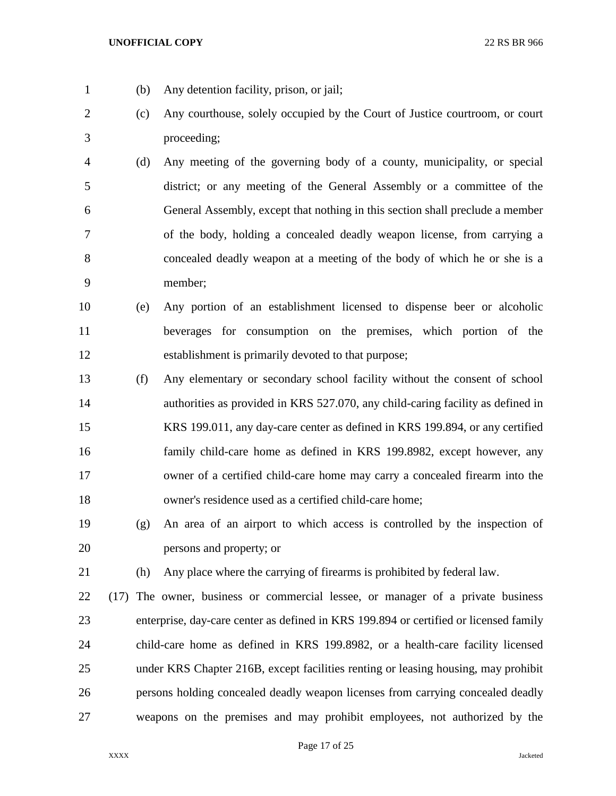(b) Any detention facility, prison, or jail;

- (c) Any courthouse, solely occupied by the Court of Justice courtroom, or court proceeding;
- (d) Any meeting of the governing body of a county, municipality, or special district; or any meeting of the General Assembly or a committee of the General Assembly, except that nothing in this section shall preclude a member of the body, holding a concealed deadly weapon license, from carrying a concealed deadly weapon at a meeting of the body of which he or she is a member;
- (e) Any portion of an establishment licensed to dispense beer or alcoholic beverages for consumption on the premises, which portion of the establishment is primarily devoted to that purpose;
- (f) Any elementary or secondary school facility without the consent of school 14 authorities as provided in KRS 527.070, any child-caring facility as defined in KRS 199.011, any day-care center as defined in KRS 199.894, or any certified family child-care home as defined in KRS 199.8982, except however, any owner of a certified child-care home may carry a concealed firearm into the owner's residence used as a certified child-care home;
- (g) An area of an airport to which access is controlled by the inspection of persons and property; or
- (h) Any place where the carrying of firearms is prohibited by federal law.
- (17) The owner, business or commercial lessee, or manager of a private business enterprise, day-care center as defined in KRS 199.894 or certified or licensed family child-care home as defined in KRS 199.8982, or a health-care facility licensed under KRS Chapter 216B, except facilities renting or leasing housing, may prohibit persons holding concealed deadly weapon licenses from carrying concealed deadly weapons on the premises and may prohibit employees, not authorized by the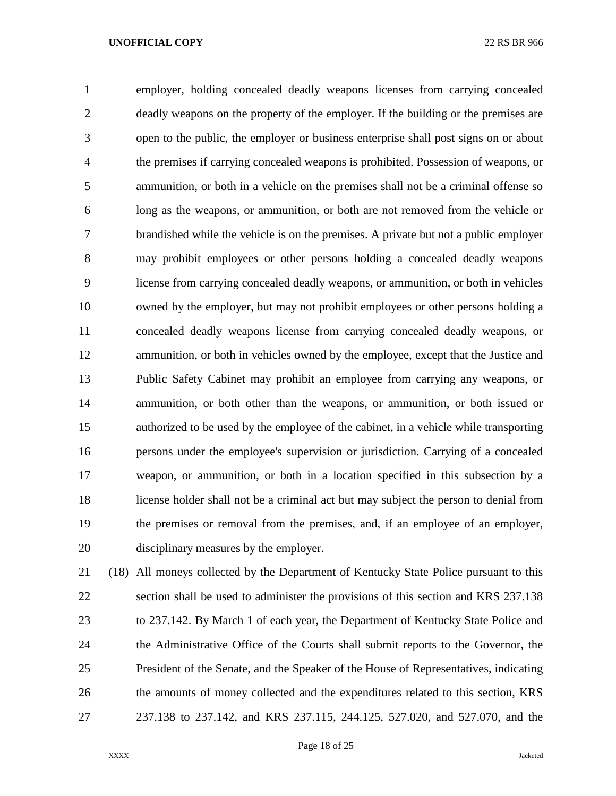employer, holding concealed deadly weapons licenses from carrying concealed deadly weapons on the property of the employer. If the building or the premises are open to the public, the employer or business enterprise shall post signs on or about the premises if carrying concealed weapons is prohibited. Possession of weapons, or ammunition, or both in a vehicle on the premises shall not be a criminal offense so long as the weapons, or ammunition, or both are not removed from the vehicle or brandished while the vehicle is on the premises. A private but not a public employer may prohibit employees or other persons holding a concealed deadly weapons license from carrying concealed deadly weapons, or ammunition, or both in vehicles owned by the employer, but may not prohibit employees or other persons holding a concealed deadly weapons license from carrying concealed deadly weapons, or ammunition, or both in vehicles owned by the employee, except that the Justice and Public Safety Cabinet may prohibit an employee from carrying any weapons, or ammunition, or both other than the weapons, or ammunition, or both issued or authorized to be used by the employee of the cabinet, in a vehicle while transporting persons under the employee's supervision or jurisdiction. Carrying of a concealed weapon, or ammunition, or both in a location specified in this subsection by a license holder shall not be a criminal act but may subject the person to denial from the premises or removal from the premises, and, if an employee of an employer, disciplinary measures by the employer.

 (18) All moneys collected by the Department of Kentucky State Police pursuant to this section shall be used to administer the provisions of this section and KRS 237.138 to 237.142. By March 1 of each year, the Department of Kentucky State Police and the Administrative Office of the Courts shall submit reports to the Governor, the President of the Senate, and the Speaker of the House of Representatives, indicating the amounts of money collected and the expenditures related to this section, KRS 237.138 to 237.142, and KRS 237.115, 244.125, 527.020, and 527.070, and the

Page 18 of 25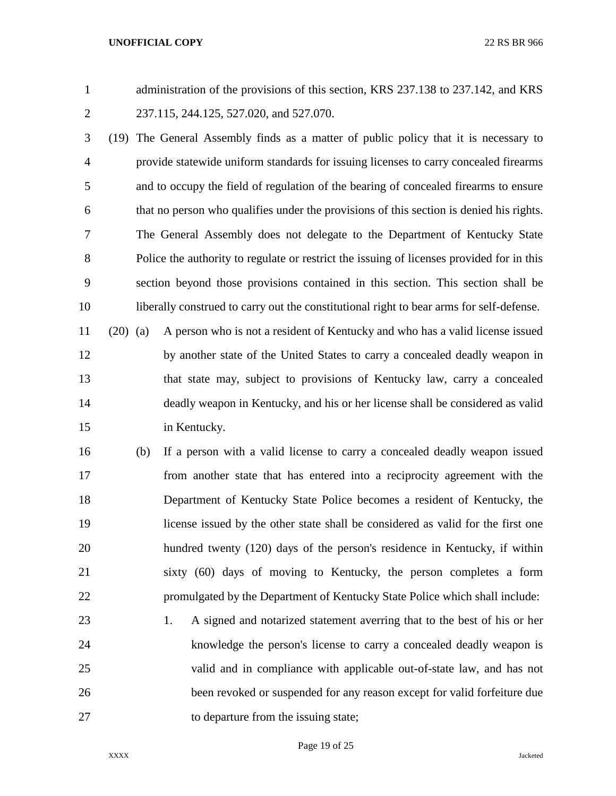administration of the provisions of this section, KRS 237.138 to 237.142, and KRS 237.115, 244.125, 527.020, and 527.070.

 (19) The General Assembly finds as a matter of public policy that it is necessary to provide statewide uniform standards for issuing licenses to carry concealed firearms and to occupy the field of regulation of the bearing of concealed firearms to ensure that no person who qualifies under the provisions of this section is denied his rights. The General Assembly does not delegate to the Department of Kentucky State Police the authority to regulate or restrict the issuing of licenses provided for in this section beyond those provisions contained in this section. This section shall be liberally construed to carry out the constitutional right to bear arms for self-defense.

 (20) (a) A person who is not a resident of Kentucky and who has a valid license issued by another state of the United States to carry a concealed deadly weapon in that state may, subject to provisions of Kentucky law, carry a concealed deadly weapon in Kentucky, and his or her license shall be considered as valid in Kentucky.

- (b) If a person with a valid license to carry a concealed deadly weapon issued from another state that has entered into a reciprocity agreement with the Department of Kentucky State Police becomes a resident of Kentucky, the license issued by the other state shall be considered as valid for the first one hundred twenty (120) days of the person's residence in Kentucky, if within sixty (60) days of moving to Kentucky, the person completes a form promulgated by the Department of Kentucky State Police which shall include:
- 1. A signed and notarized statement averring that to the best of his or her knowledge the person's license to carry a concealed deadly weapon is valid and in compliance with applicable out-of-state law, and has not been revoked or suspended for any reason except for valid forfeiture due 27 to departure from the issuing state;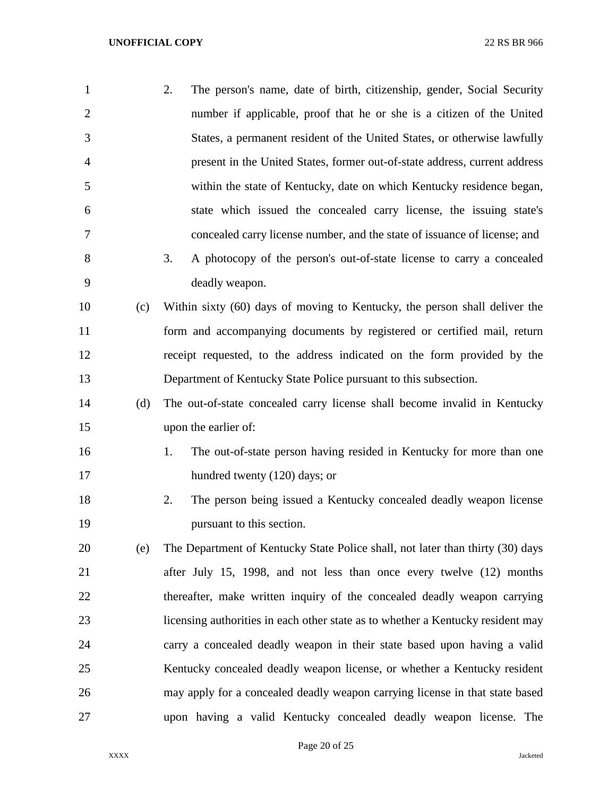| $\mathbf{1}$   |     | 2.<br>The person's name, date of birth, citizenship, gender, Social Security    |
|----------------|-----|---------------------------------------------------------------------------------|
| $\overline{2}$ |     | number if applicable, proof that he or she is a citizen of the United           |
| 3              |     | States, a permanent resident of the United States, or otherwise lawfully        |
| 4              |     | present in the United States, former out-of-state address, current address      |
| 5              |     | within the state of Kentucky, date on which Kentucky residence began,           |
| 6              |     | state which issued the concealed carry license, the issuing state's             |
| 7              |     | concealed carry license number, and the state of issuance of license; and       |
| 8              |     | A photocopy of the person's out-of-state license to carry a concealed<br>3.     |
| 9              |     | deadly weapon.                                                                  |
| 10             | (c) | Within sixty (60) days of moving to Kentucky, the person shall deliver the      |
| 11             |     | form and accompanying documents by registered or certified mail, return         |
| 12             |     | receipt requested, to the address indicated on the form provided by the         |
| 13             |     | Department of Kentucky State Police pursuant to this subsection.                |
| 14             | (d) | The out-of-state concealed carry license shall become invalid in Kentucky       |
| 15             |     | upon the earlier of:                                                            |
| 16             |     | The out-of-state person having resided in Kentucky for more than one<br>1.      |
| 17             |     | hundred twenty (120) days; or                                                   |
| 18             |     | 2.<br>The person being issued a Kentucky concealed deadly weapon license        |
| 19             |     | pursuant to this section.                                                       |
| 20             | (e) | The Department of Kentucky State Police shall, not later than thirty (30) days  |
| 21             |     | after July 15, 1998, and not less than once every twelve (12) months            |
| 22             |     | thereafter, make written inquiry of the concealed deadly weapon carrying        |
| 23             |     | licensing authorities in each other state as to whether a Kentucky resident may |
| 24             |     | carry a concealed deadly weapon in their state based upon having a valid        |
| 25             |     | Kentucky concealed deadly weapon license, or whether a Kentucky resident        |
| 26             |     | may apply for a concealed deadly weapon carrying license in that state based    |
| 27             |     | upon having a valid Kentucky concealed deadly weapon license. The               |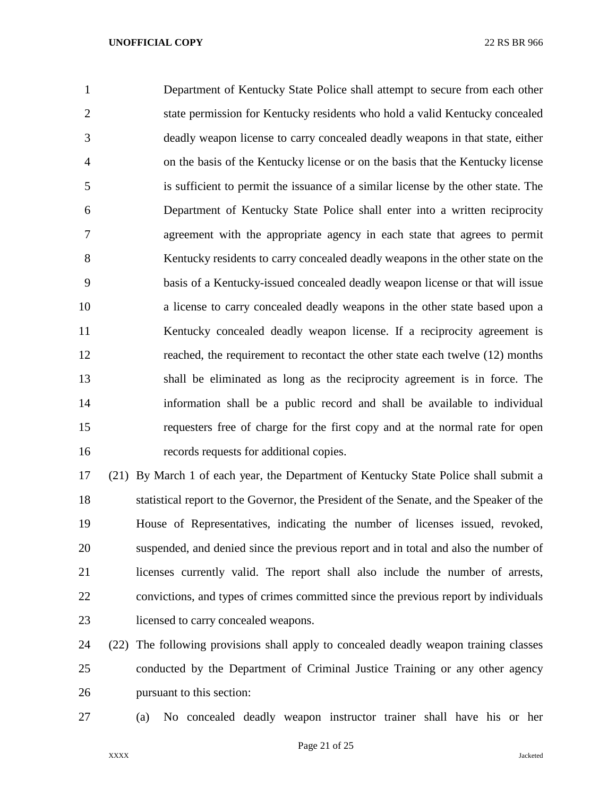Department of Kentucky State Police shall attempt to secure from each other state permission for Kentucky residents who hold a valid Kentucky concealed deadly weapon license to carry concealed deadly weapons in that state, either on the basis of the Kentucky license or on the basis that the Kentucky license is sufficient to permit the issuance of a similar license by the other state. The Department of Kentucky State Police shall enter into a written reciprocity agreement with the appropriate agency in each state that agrees to permit Kentucky residents to carry concealed deadly weapons in the other state on the basis of a Kentucky-issued concealed deadly weapon license or that will issue a license to carry concealed deadly weapons in the other state based upon a Kentucky concealed deadly weapon license. If a reciprocity agreement is reached, the requirement to recontact the other state each twelve (12) months shall be eliminated as long as the reciprocity agreement is in force. The information shall be a public record and shall be available to individual requesters free of charge for the first copy and at the normal rate for open records requests for additional copies.

 (21) By March 1 of each year, the Department of Kentucky State Police shall submit a statistical report to the Governor, the President of the Senate, and the Speaker of the House of Representatives, indicating the number of licenses issued, revoked, suspended, and denied since the previous report and in total and also the number of licenses currently valid. The report shall also include the number of arrests, convictions, and types of crimes committed since the previous report by individuals licensed to carry concealed weapons.

 (22) The following provisions shall apply to concealed deadly weapon training classes conducted by the Department of Criminal Justice Training or any other agency pursuant to this section:

(a) No concealed deadly weapon instructor trainer shall have his or her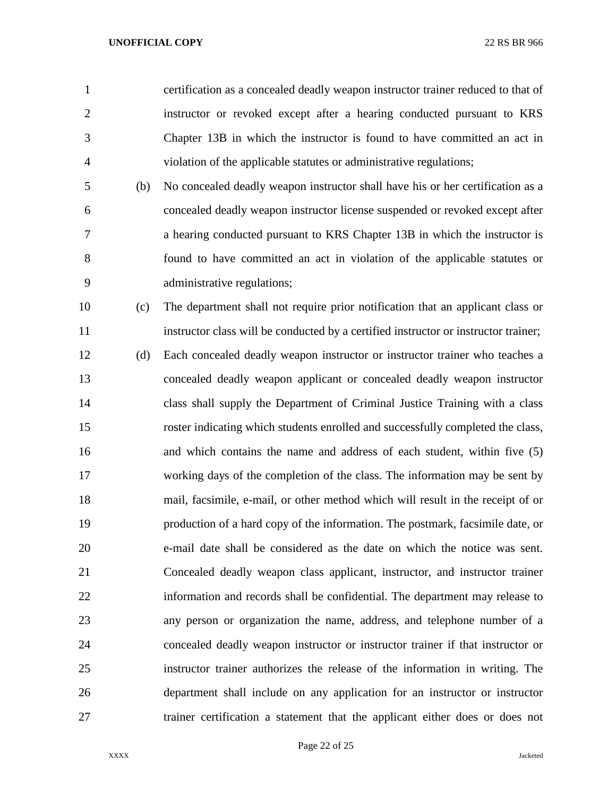certification as a concealed deadly weapon instructor trainer reduced to that of instructor or revoked except after a hearing conducted pursuant to KRS Chapter 13B in which the instructor is found to have committed an act in violation of the applicable statutes or administrative regulations;

 (b) No concealed deadly weapon instructor shall have his or her certification as a concealed deadly weapon instructor license suspended or revoked except after a hearing conducted pursuant to KRS Chapter 13B in which the instructor is found to have committed an act in violation of the applicable statutes or administrative regulations;

 (c) The department shall not require prior notification that an applicant class or instructor class will be conducted by a certified instructor or instructor trainer;

 (d) Each concealed deadly weapon instructor or instructor trainer who teaches a concealed deadly weapon applicant or concealed deadly weapon instructor class shall supply the Department of Criminal Justice Training with a class roster indicating which students enrolled and successfully completed the class, and which contains the name and address of each student, within five (5) working days of the completion of the class. The information may be sent by mail, facsimile, e-mail, or other method which will result in the receipt of or production of a hard copy of the information. The postmark, facsimile date, or e-mail date shall be considered as the date on which the notice was sent. Concealed deadly weapon class applicant, instructor, and instructor trainer information and records shall be confidential. The department may release to any person or organization the name, address, and telephone number of a concealed deadly weapon instructor or instructor trainer if that instructor or instructor trainer authorizes the release of the information in writing. The department shall include on any application for an instructor or instructor trainer certification a statement that the applicant either does or does not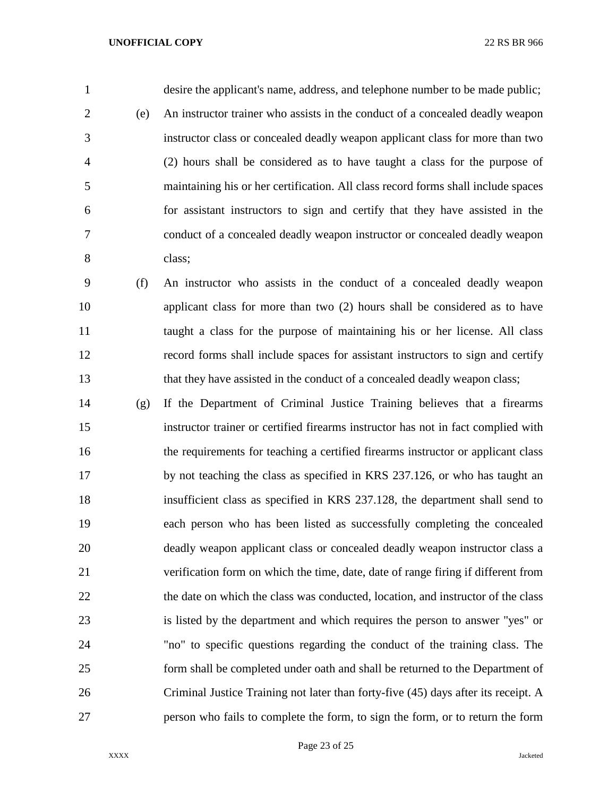desire the applicant's name, address, and telephone number to be made public; (e) An instructor trainer who assists in the conduct of a concealed deadly weapon instructor class or concealed deadly weapon applicant class for more than two (2) hours shall be considered as to have taught a class for the purpose of maintaining his or her certification. All class record forms shall include spaces for assistant instructors to sign and certify that they have assisted in the conduct of a concealed deadly weapon instructor or concealed deadly weapon class;

 (f) An instructor who assists in the conduct of a concealed deadly weapon applicant class for more than two (2) hours shall be considered as to have taught a class for the purpose of maintaining his or her license. All class record forms shall include spaces for assistant instructors to sign and certify that they have assisted in the conduct of a concealed deadly weapon class;

 (g) If the Department of Criminal Justice Training believes that a firearms instructor trainer or certified firearms instructor has not in fact complied with the requirements for teaching a certified firearms instructor or applicant class by not teaching the class as specified in KRS 237.126, or who has taught an insufficient class as specified in KRS 237.128, the department shall send to each person who has been listed as successfully completing the concealed deadly weapon applicant class or concealed deadly weapon instructor class a verification form on which the time, date, date of range firing if different from the date on which the class was conducted, location, and instructor of the class is listed by the department and which requires the person to answer "yes" or "no" to specific questions regarding the conduct of the training class. The form shall be completed under oath and shall be returned to the Department of Criminal Justice Training not later than forty-five (45) days after its receipt. A person who fails to complete the form, to sign the form, or to return the form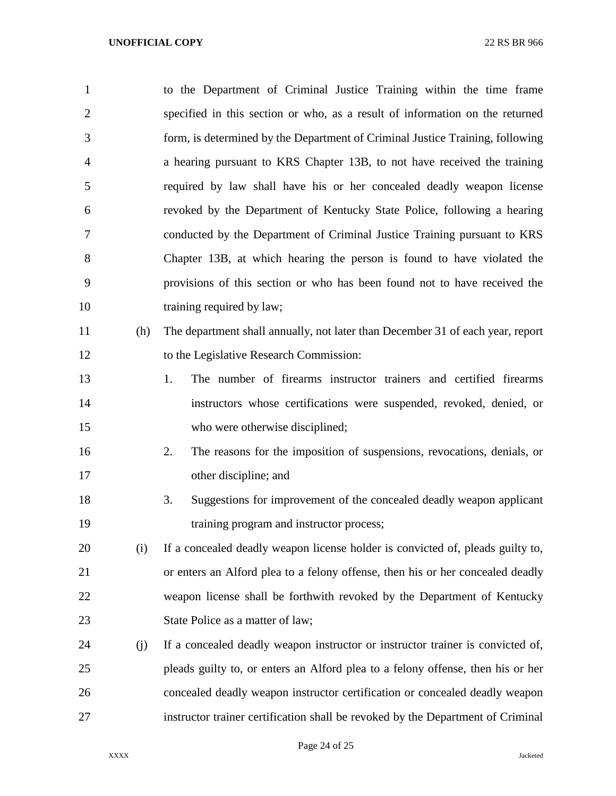| $\mathbf{1}$   |     | to the Department of Criminal Justice Training within the time frame            |
|----------------|-----|---------------------------------------------------------------------------------|
| $\overline{2}$ |     | specified in this section or who, as a result of information on the returned    |
| 3              |     | form, is determined by the Department of Criminal Justice Training, following   |
| 4              |     | a hearing pursuant to KRS Chapter 13B, to not have received the training        |
| 5              |     | required by law shall have his or her concealed deadly weapon license           |
| 6              |     | revoked by the Department of Kentucky State Police, following a hearing         |
| 7              |     | conducted by the Department of Criminal Justice Training pursuant to KRS        |
| 8              |     | Chapter 13B, at which hearing the person is found to have violated the          |
| 9              |     | provisions of this section or who has been found not to have received the       |
| 10             |     | training required by law;                                                       |
| 11             | (h) | The department shall annually, not later than December 31 of each year, report  |
| 12             |     | to the Legislative Research Commission:                                         |
| 13             |     | 1.<br>The number of firearms instructor trainers and certified firearms         |
| 14             |     | instructors whose certifications were suspended, revoked, denied, or            |
| 15             |     | who were otherwise disciplined;                                                 |
| 16             |     | The reasons for the imposition of suspensions, revocations, denials, or<br>2.   |
| 17             |     | other discipline; and                                                           |
| 18             |     | Suggestions for improvement of the concealed deadly weapon applicant<br>3.      |
| 19             |     | training program and instructor process;                                        |
| 20             | (i) | If a concealed deadly weapon license holder is convicted of, pleads guilty to,  |
| 21             |     | or enters an Alford plea to a felony offense, then his or her concealed deadly  |
| 22             |     | weapon license shall be forthwith revoked by the Department of Kentucky         |
| 23             |     | State Police as a matter of law;                                                |
| 24             | (j) | If a concealed deadly weapon instructor or instructor trainer is convicted of,  |
| 25             |     | pleads guilty to, or enters an Alford plea to a felony offense, then his or her |
| 26             |     | concealed deadly weapon instructor certification or concealed deadly weapon     |
| 27             |     | instructor trainer certification shall be revoked by the Department of Criminal |